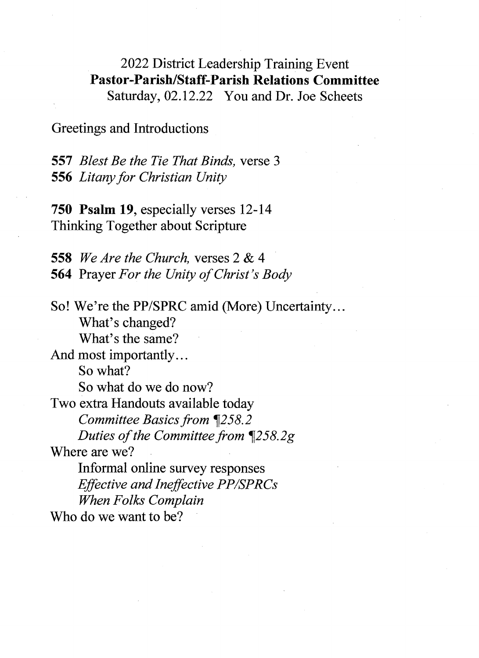2022 District Leadership Training Event Pastor-Parish/Staff-Parish Relations Committee Saturday, 02.12.22 You and Dr. Joe Scheets

Greetings and Introductions

557 Blest Be the Tie That Binds, verse 3 556 Litany for Christian Unity

750 Psalm 19, especially verses 12-14 Thinking Together about Scripture

558 We Are the Church, verses 2 & 4 564 Prayer For the Unity of Christ's Body

So! We're the PP/SPRC amid (More) Uncertainty. . . What's changed? What's the same? And most importantly...

So what? So what do we do now? Two extra Handouts available today Committee Basics from ¶258.2 Duties of the Committee from  $1258.2g$ 

Where are we?

Informal online survey responses Effective and Ineffective PP/SPRCs When Folks Complain

Who do we want to be?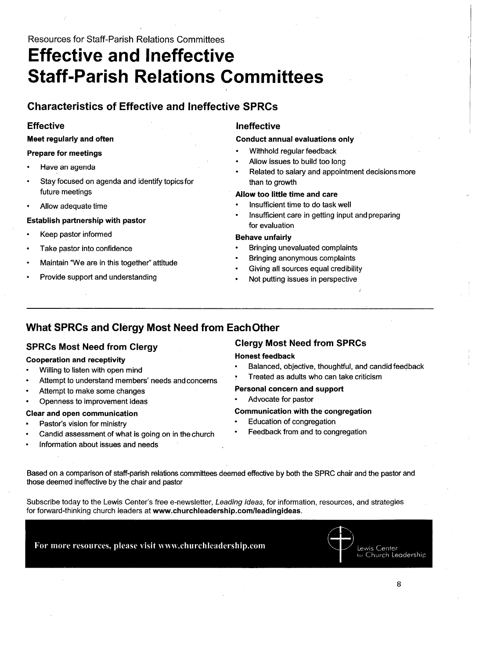### Resources for Staff-Parish Relations Committees

# Effective and Ineffective **Staff-Parish Relations Committees**

### Characteristics of Effective and Ineffective SPRCs

### **Effective**

### Meet regularly and often

#### Prepare for meetings

- Have an agenda
- Stay focused on agenda and identify topics for future meetings
- Allow adequate time

### Establish partnership with pastor

- Keep pastor informed
- Take pastor into confidence
- Maintain "We are in this together" attitude
- Provide support and understanding

### Ineffective

### Conduct annual evaluations only

- Withhold regular feedback
- Allow issues to build too long
- Related to salary and appointment decisionsmore than to growth

### Allow too little time and care

- Insufficient time to do task well
- Insufficient care in getting input and preparing for evaluation

### Behave unfairly

- Bringing unevaluated complaints
- Bringing anonymous complaints
- Giving all sources equal credibility
- Not putting issues in perspective

### What SPRCs and Clergy Most Need from EachOther

### SPRCs Most Need from Clergy

### Cooperation and receptivity

- Willing to listen with open mind
- Attempt to understand members' needs and concerns
- Attempt to make some changes
- Openness to improvement ideas

### Clear and open communication

- Pastor's vision for ministry
- Candid assessment of what is going on in the church
- Information about issues and needs

### Clergy Most Need from SPRCs

### Honest feedback

• Balanced, objective, thoughtful, and candid feedback

/

• Treated as adults who can take criticism

### Personal concern and support

Advocate for pastor

### Communication with the congregation

- Education of congregation
- Feedback from and to congregation

Based on a comparison of staff-parish relations committees deemed effective by both the SPRC chair and the pastor and those deemed ineffective by the chair and pastor

Subscribe today to the Lewis Center's free e-newsletter, Leading Ideas, for information, resources, and strategies for forward-thinking church leaders at www.churchleadership.com/Ieadingideas.

For more resources, please visit www.churchleadership.com

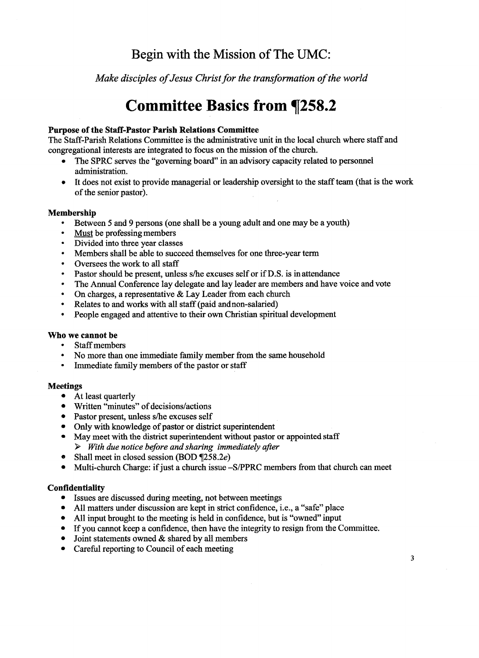### Begin with the Mission of The UMC:

Make disciples of Jesus Christ for the transformation of the world

## Committee Basics from ¶258.2

### Purpose of the Staff-Pastor Parish Relations Committee

The Staff-Parish Relations Committee is the administrative unit in the local church where staff and congregational interests are integrated to focus on the mission of the church.

- The SPRC serves the "governing board" in an advisory capacity related to personnel administration.
- It does not exist to provide managerial or leadership oversight to the staff team (that is the work of the senior pastor).

### Membership

- Between 5 and 9 persons (one shall be a young adult and one may be a youth)
- Must be professing members
- Divided into three year classes
- Members shall be able to succeed themselves for one three-year term
- Oversees the work to all staff
- Pastor should be present, unless  $s$ /he excuses self or if D.S. is in attendance
- The Annual Conference lay delegate and lay leader are members and have voice and vote
- On charges, a representative & Lay Leader from each church
- Relates to and works with all staff (paid and non-salaried)
- People engaged and attentive to their own christian spiritual development

### Who we cannot be

- Staff members
- No more than one immediate family member from the same household
- Immediate finily members of the pastor or staff

### Meetings

- At least quarterly
- Written "minutes" of decisions/actions
- Pastor present, unless s/he excuses self
- Only with knowledge of pastor or district superintendent
- May meet with the district superintendent without pastor or appointed staff  $\triangleright$  With due notice before and sharing immediately after
- Shall meet in closed session (BOD ¶258.2e)
- Multi-church Charge: if just a church issue -S/PPRC members from that church can meet

### **Confidentiality**

- Issues are discussed during meeting, not between meetings
- All matters under discussion are kept in strict confidence, i.e., a "safe" place
- All input brought to the meeting is held in confidence, but is "owned" input
- If you cannot keep a confidence, then have the integrity to resign from the Committee.
- Joint statements owned  $&$  shared by all members
- Careful reporting to Council of each meeting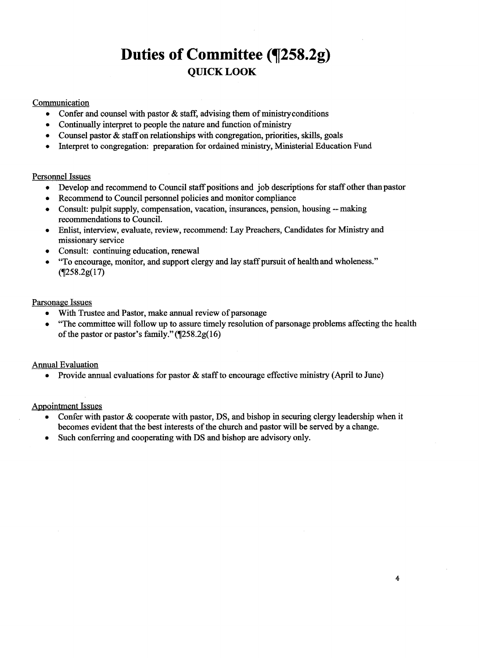## Duties of Committee (¶258.2g) QUICKL00K

### Communication

- Confer and counsel with pastor  $\&$  staff, advising them of ministry conditions
- Continually interpret to people the nature and function of ministry
- Counsel pastor & staff on relationships with congregation, priorities, skills, goals
- Interpret to congregation: preparation for ordained ministry, Ministerial Education Fund

### Persomel Issues

- Develop and recommend to Council staff positions and job descriptions for staff other than pastor
- Recommend to Council personnel policies and monitor compliance
- Consult: pulpit supply, compensation, vacation, insurances, pension, housing -- making recommendations to Council.
- Enlist, interview, evaluate, review, recommend: Lay Preachers, Candidates for Ministry and missionary service
- Consult: continuing education, renewal
- `To encourage, monitor, and support clergy and lay staff pursuit of health and wholeness."  $(9258.2g(17))$

### Parsonage Issues

- With Trustee and Pastor, make annual review of parsonage
- "The committee will follow up to assure timely resolution of parsonage problems affecting the health of the pastor or pastor's family."  $(9258.2g(16))$

### Amual Evaluation

• Provide annual evaluations for pastor & staff to encourage effective ministry (April to June)

### **Appointment Issues**

- Confer with pastor & cooperate with pastor, DS, and bishop in securing clergy leadership when it becomes evident that the best interests of the church and pastor will be served by a change.
- Such conferring and cooperating with Ds and bishop are advisory only.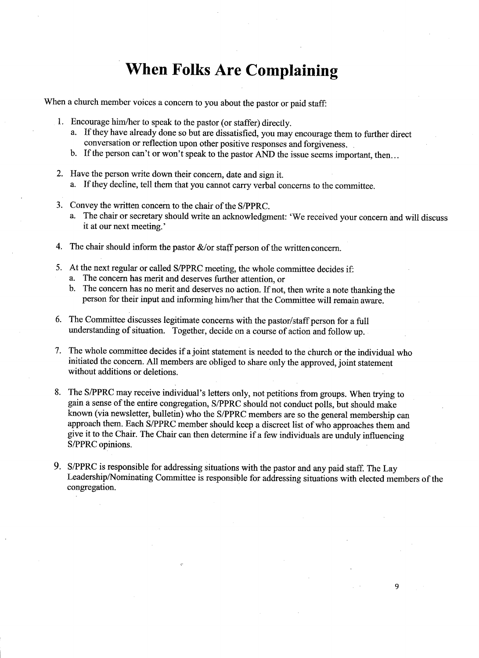## When Folks Are Complaining

When a church member voices a concern to you about the pastor or paid staff:

- 1. Encourage him/her to speak to the pastor (or staffer) directly.
	- a. If they have already done so but are dissatisfied, you may encourage them to further direct conversation or reflection upon other positive responses and forgiveness. `
	- b. If the person can't or won't speak to the pastor AND the issue seems important, then. . .
- 2. Have the person write down their concern, date and sign it. a. If they decline, tell them that you cannot carry verbal concerns to the committee.
- 3. Convey the written concern to the chair of the S/PPRC.
	- a. The chair or secretary should write an acknowledgment: 'We received your concern and will discuss it at our next meeting. '
- 4. The chair should inform the pastor  $\&$ /or staff person of the written concern.
- 5. At the next regular or called S/PPRC meeting, the whole committee decides if:
	- a. The concern has merit and deserves further attention, or
	- b. The concern has no merit and deserves no action. If not, then write a note thanking the person for their input and informing him/her that the Committee will remain aware.
- 6. The Committee discusses legitimate concerns with the pastor/staff person for a full understanding of situation. Together, decide on a course of action and follow up.
- 7. The whole committee decides if ajoint statement is needed to the church or the individual who initiated the concern. All members are obliged to share only the approved, joint statement without additions or deletions.
- 8. The S/PPRC may receive individual's letters only, not petitions from groups. When trying to gain a sense of the entire congregation, S/PPRC should not conduct polls, but should make known (via newsletter, bulletin) who the S/PPRC members are so the general membership can approach them. Each S/PPRC member should keep a discreet list of who approaches them and give it to the Chalr. The Chair can then determine if a few individuals are unduly influencing S/PPRC opinions.
- 9. S/PPRC is responsible for addressing situations with the pastor and any paid staff. The Lay Leadership/Nominating Committee is responsible for addressing situations with elected members of the congregation.

 $\overline{Q}$